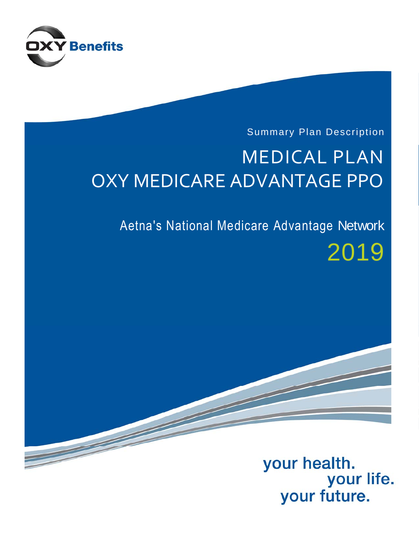

### Summary Plan Description

# MEDICAL PLAN OXY MEDICARE ADVANTAGE PPO

## Aetna's National Medicare Advantage Network

# 2019

### your health. your life. your future.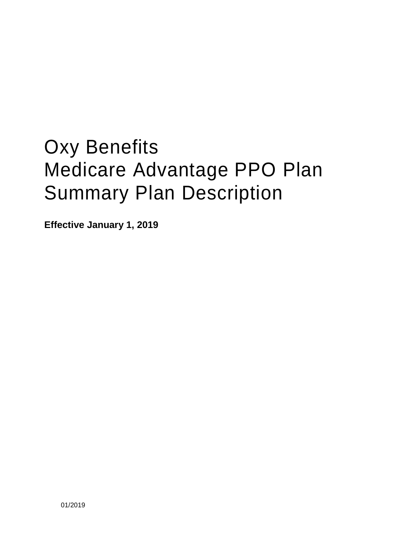# Oxy Benefits Medicare Advantage PPO Plan Summary Plan Description

**Effective January 1, 2019**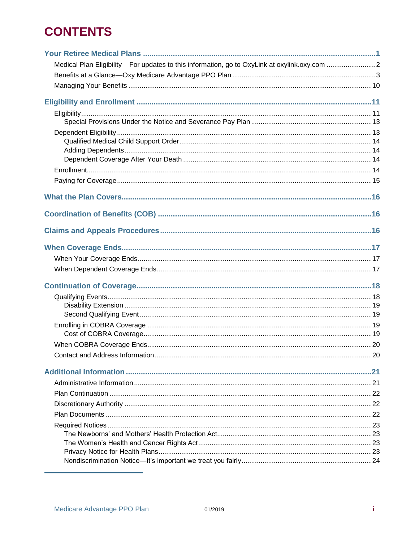### **CONTENTS**

| Medical Plan Eligibility For updates to this information, go to OxyLink at oxylink.oxy.com 2 |  |
|----------------------------------------------------------------------------------------------|--|
|                                                                                              |  |
|                                                                                              |  |
|                                                                                              |  |
|                                                                                              |  |
|                                                                                              |  |
|                                                                                              |  |
|                                                                                              |  |
|                                                                                              |  |
|                                                                                              |  |
|                                                                                              |  |
|                                                                                              |  |
|                                                                                              |  |
|                                                                                              |  |
|                                                                                              |  |
|                                                                                              |  |
|                                                                                              |  |
|                                                                                              |  |
|                                                                                              |  |
|                                                                                              |  |
|                                                                                              |  |
|                                                                                              |  |
|                                                                                              |  |
|                                                                                              |  |
|                                                                                              |  |
|                                                                                              |  |
|                                                                                              |  |
|                                                                                              |  |
|                                                                                              |  |
|                                                                                              |  |
|                                                                                              |  |
|                                                                                              |  |
|                                                                                              |  |
|                                                                                              |  |
|                                                                                              |  |
|                                                                                              |  |
|                                                                                              |  |
|                                                                                              |  |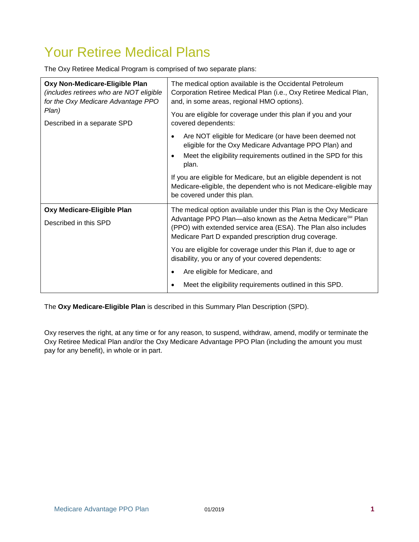### <span id="page-4-0"></span>Your Retiree Medical Plans

The Oxy Retiree Medical Program is comprised of two separate plans:

| Oxy Non-Medicare-Eligible Plan<br>(includes retirees who are NOT eligible<br>for the Oxy Medicare Advantage PPO | The medical option available is the Occidental Petroleum<br>Corporation Retiree Medical Plan (i.e., Oxy Retiree Medical Plan,<br>and, in some areas, regional HMO options).                                                                                                                                                                                          |
|-----------------------------------------------------------------------------------------------------------------|----------------------------------------------------------------------------------------------------------------------------------------------------------------------------------------------------------------------------------------------------------------------------------------------------------------------------------------------------------------------|
| Plan)<br>Described in a separate SPD                                                                            | You are eligible for coverage under this plan if you and your<br>covered dependents:                                                                                                                                                                                                                                                                                 |
|                                                                                                                 | Are NOT eligible for Medicare (or have been deemed not<br>eligible for the Oxy Medicare Advantage PPO Plan) and<br>Meet the eligibility requirements outlined in the SPD for this<br>plan.<br>If you are eligible for Medicare, but an eligible dependent is not<br>Medicare-eligible, the dependent who is not Medicare-eligible may<br>be covered under this plan. |
| Oxy Medicare-Eligible Plan                                                                                      | The medical option available under this Plan is the Oxy Medicare                                                                                                                                                                                                                                                                                                     |
| Described in this SPD                                                                                           | Advantage PPO Plan—also known as the Aetna Medicare <sup>sM</sup> Plan<br>(PPO) with extended service area (ESA). The Plan also includes<br>Medicare Part D expanded prescription drug coverage.                                                                                                                                                                     |
|                                                                                                                 | You are eligible for coverage under this Plan if, due to age or<br>disability, you or any of your covered dependents:                                                                                                                                                                                                                                                |
|                                                                                                                 | Are eligible for Medicare, and                                                                                                                                                                                                                                                                                                                                       |
|                                                                                                                 | Meet the eligibility requirements outlined in this SPD.                                                                                                                                                                                                                                                                                                              |

The **Oxy Medicare-Eligible Plan** is described in this Summary Plan Description (SPD).

Oxy reserves the right, at any time or for any reason, to suspend, withdraw, amend, modify or terminate the Oxy Retiree Medical Plan and/or the Oxy Medicare Advantage PPO Plan (including the amount you must pay for any benefit), in whole or in part.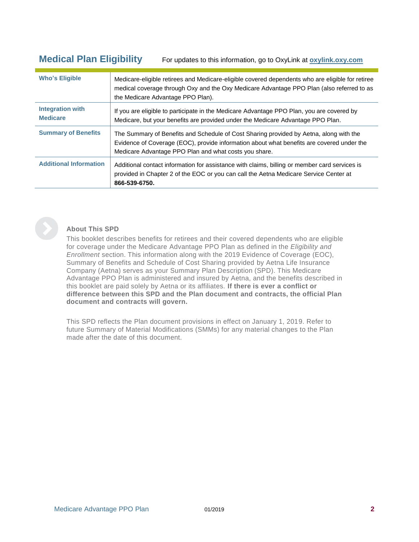<span id="page-5-0"></span>**Medical Plan Eligibility** For updates to this information, go to OxyLink at **[oxylink.oxy.com](http://oxylink.oxy.com/)**

| <b>Who's Eligible</b>                      | Medicare-eligible retirees and Medicare-eligible covered dependents who are eligible for retiree<br>medical coverage through Oxy and the Oxy Medicare Advantage PPO Plan (also referred to as<br>the Medicare Advantage PPO Plan).           |
|--------------------------------------------|----------------------------------------------------------------------------------------------------------------------------------------------------------------------------------------------------------------------------------------------|
| <b>Integration with</b><br><b>Medicare</b> | If you are eligible to participate in the Medicare Advantage PPO Plan, you are covered by<br>Medicare, but your benefits are provided under the Medicare Advantage PPO Plan.                                                                 |
| <b>Summary of Benefits</b>                 | The Summary of Benefits and Schedule of Cost Sharing provided by Aetna, along with the<br>Evidence of Coverage (EOC), provide information about what benefits are covered under the<br>Medicare Advantage PPO Plan and what costs you share. |
| <b>Additional Information</b>              | Additional contact information for assistance with claims, billing or member card services is<br>provided in Chapter 2 of the EOC or you can call the Aetna Medicare Service Center at<br>866-539-6750.                                      |



#### **About This SPD**

This booklet describes benefits for retirees and their covered dependents who are eligible for coverage under the Medicare Advantage PPO Plan as defined in the *Eligibility and Enrollment* section. This information along with the 2019 Evidence of Coverage (EOC), Summary of Benefits and Schedule of Cost Sharing provided by Aetna Life Insurance Company (Aetna) serves as your Summary Plan Description (SPD). This Medicare Advantage PPO Plan is administered and insured by Aetna, and the benefits described in this booklet are paid solely by Aetna or its affiliates. **If there is ever a conflict or difference between this SPD and the Plan document and contracts, the official Plan document and contracts will govern.**

This SPD reflects the Plan document provisions in effect on January 1, 2019. Refer to future Summary of Material Modifications (SMMs) for any material changes to the Plan made after the date of this document.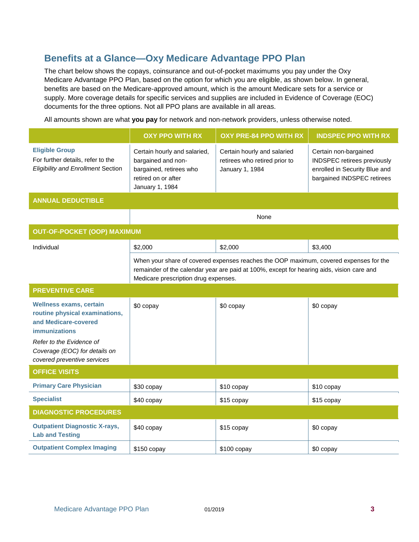#### <span id="page-6-0"></span>**Benefits at a Glance—Oxy Medicare Advantage PPO Plan**

The chart below shows the copays, coinsurance and out-of-pocket maximums you pay under the Oxy Medicare Advantage PPO Plan, based on the option for which you are eligible, as shown below. In general, benefits are based on the Medicare-approved amount, which is the amount Medicare sets for a service or supply. More coverage details for specific services and supplies are included in Evidence of Coverage (EOC) documents for the three options. Not all PPO plans are available in all areas.

All amounts shown are what **you pay** for network and non-network providers, unless otherwise noted.

|                                                                                                                                                                                                              | <b>OXY PPO WITH RX</b>                                                                                                                                                                                                     | <b>OXY PRE-84 PPO WITH RX</b>                                                   | <b>INDSPEC PPO WITH RX</b>                                                                                          |
|--------------------------------------------------------------------------------------------------------------------------------------------------------------------------------------------------------------|----------------------------------------------------------------------------------------------------------------------------------------------------------------------------------------------------------------------------|---------------------------------------------------------------------------------|---------------------------------------------------------------------------------------------------------------------|
| <b>Eligible Group</b><br>For further details, refer to the<br><b>Eligibility and Enrollment Section</b>                                                                                                      | Certain hourly and salaried,<br>bargained and non-<br>bargained, retirees who<br>retired on or after<br>January 1, 1984                                                                                                    | Certain hourly and salaried<br>retirees who retired prior to<br>January 1, 1984 | Certain non-bargained<br>INDSPEC retirees previously<br>enrolled in Security Blue and<br>bargained INDSPEC retirees |
| <b>ANNUAL DEDUCTIBLE</b>                                                                                                                                                                                     |                                                                                                                                                                                                                            |                                                                                 |                                                                                                                     |
|                                                                                                                                                                                                              |                                                                                                                                                                                                                            | None                                                                            |                                                                                                                     |
| <b>OUT-OF-POCKET (OOP) MAXIMUM</b>                                                                                                                                                                           |                                                                                                                                                                                                                            |                                                                                 |                                                                                                                     |
| Individual                                                                                                                                                                                                   | \$2,000                                                                                                                                                                                                                    | \$2,000                                                                         | \$3,400                                                                                                             |
|                                                                                                                                                                                                              | When your share of covered expenses reaches the OOP maximum, covered expenses for the<br>remainder of the calendar year are paid at 100%, except for hearing aids, vision care and<br>Medicare prescription drug expenses. |                                                                                 |                                                                                                                     |
| <b>PREVENTIVE CARE</b>                                                                                                                                                                                       |                                                                                                                                                                                                                            |                                                                                 |                                                                                                                     |
| <b>Wellness exams, certain</b><br>routine physical examinations,<br>and Medicare-covered<br><b>immunizations</b><br>Refer to the Evidence of<br>Coverage (EOC) for details on<br>covered preventive services | \$0 copay                                                                                                                                                                                                                  | \$0 copay                                                                       | \$0 copay                                                                                                           |
| <b>OFFICE VISITS</b>                                                                                                                                                                                         |                                                                                                                                                                                                                            |                                                                                 |                                                                                                                     |
| <b>Primary Care Physician</b>                                                                                                                                                                                | \$30 copay                                                                                                                                                                                                                 | \$10 copay                                                                      | \$10 copay                                                                                                          |
| <b>Specialist</b>                                                                                                                                                                                            | \$40 copay                                                                                                                                                                                                                 | \$15 copay                                                                      | \$15 copay                                                                                                          |
| <b>DIAGNOSTIC PROCEDURES</b>                                                                                                                                                                                 |                                                                                                                                                                                                                            |                                                                                 |                                                                                                                     |
| <b>Outpatient Diagnostic X-rays,</b><br><b>Lab and Testing</b>                                                                                                                                               | \$40 copay                                                                                                                                                                                                                 | \$15 copay                                                                      | \$0 copay                                                                                                           |
| <b>Outpatient Complex Imaging</b>                                                                                                                                                                            | $$150$ copay                                                                                                                                                                                                               | $$100$ copay                                                                    | \$0 copay                                                                                                           |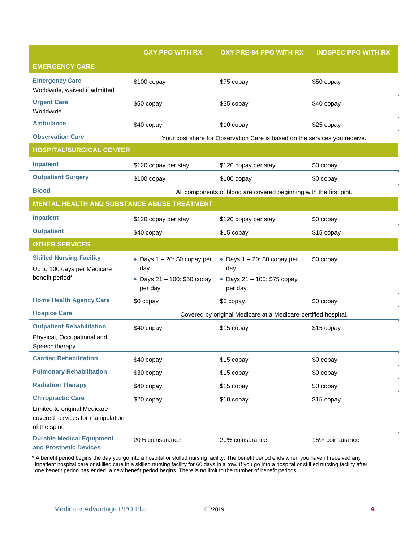|                                                                                                               | <b>OXY PPO WITH RX</b>                                                           | <b>OXY PRE-84 PPO WITH RX</b>                                                    | <b>INDSPEC PPO WITH RX</b> |
|---------------------------------------------------------------------------------------------------------------|----------------------------------------------------------------------------------|----------------------------------------------------------------------------------|----------------------------|
| <b>EMERGENCY CARE</b>                                                                                         |                                                                                  |                                                                                  |                            |
| <b>Emergency Care</b><br>Worldwide, waived if admitted                                                        | \$100 copay                                                                      | \$75 copay                                                                       | \$50 copay                 |
| <b>Urgent Care</b><br>Worldwide                                                                               | \$50 copay                                                                       | \$35 copay                                                                       | \$40 copay                 |
| <b>Ambulance</b>                                                                                              | \$40 copay                                                                       | \$10 copay                                                                       | \$25 copay                 |
| <b>Observation Care</b>                                                                                       |                                                                                  | Your cost share for Observation Care is based on the services you receive.       |                            |
| <b>HOSPITAL/SURGICAL CENTER</b>                                                                               |                                                                                  |                                                                                  |                            |
| <b>Inpatient</b>                                                                                              | \$120 copay per stay                                                             | \$120 copay per stay                                                             | \$0 copay                  |
| <b>Outpatient Surgery</b>                                                                                     | \$100 copay                                                                      | \$100 copay                                                                      | \$0 copay                  |
| <b>Blood</b>                                                                                                  |                                                                                  | All components of blood are covered beginning with the first pint.               |                            |
| MENTAL HEALTH AND SUBSTANCE ABUSE TREATMENT                                                                   |                                                                                  |                                                                                  |                            |
| <b>Inpatient</b>                                                                                              | \$120 copay per stay                                                             | \$120 copay per stay                                                             | \$0 copay                  |
| <b>Outpatient</b>                                                                                             | \$40 copay                                                                       | \$15 copay                                                                       | \$15 copay                 |
| <b>OTHER SERVICES</b>                                                                                         |                                                                                  |                                                                                  |                            |
| <b>Skilled Nursing Facility</b><br>Up to 100 days per Medicare<br>benefit period*                             | • Days $1 - 20$ : \$0 copay per<br>day<br>• Days 21 - 100: \$50 copay<br>per day | • Days $1 - 20$ : \$0 copay per<br>day<br>• Days 21 - 100: \$75 copay<br>per day | \$0 copay                  |
| <b>Home Health Agency Care</b>                                                                                | \$0 copay                                                                        | \$0 copay                                                                        | \$0 copay                  |
| <b>Hospice Care</b>                                                                                           | Covered by original Medicare at a Medicare-certified hospital.                   |                                                                                  |                            |
| <b>Outpatient Rehabilitation</b><br>Physical, Occupational and<br>Speech therapy                              | \$40 copay                                                                       | \$15 copay                                                                       | \$15 copay                 |
| <b>Cardiac Rehabilitation</b>                                                                                 | \$40 copay                                                                       | \$15 copay                                                                       | \$0 copay                  |
| <b>Pulmonary Rehabilitation</b>                                                                               | \$30 copay                                                                       | \$15 copay                                                                       | \$0 copay                  |
| <b>Radiation Therapy</b>                                                                                      | \$40 copay                                                                       | \$15 copay                                                                       | \$0 copay                  |
| <b>Chiropractic Care</b><br>Limited to original Medicare<br>covered services for manipulation<br>of the spine | \$20 copay                                                                       | \$10 copay                                                                       | \$15 copay                 |
| <b>Durable Medical Equipment</b><br>and Prosthetic Devices                                                    | 20% coinsurance                                                                  | 20% coinsurance                                                                  | 15% coinsurance            |

\* A benefit period begins the day you go into a hospital or skilled nursing facility. The benefit period ends when you haven't received any inpatient hospital care or skilled care in a skilled nursing facility for 60 days in a row. If you go into a hospital or skilled nursing facility after one benefit period has ended, a new benefit period begins. There is no limit to the number of benefit periods.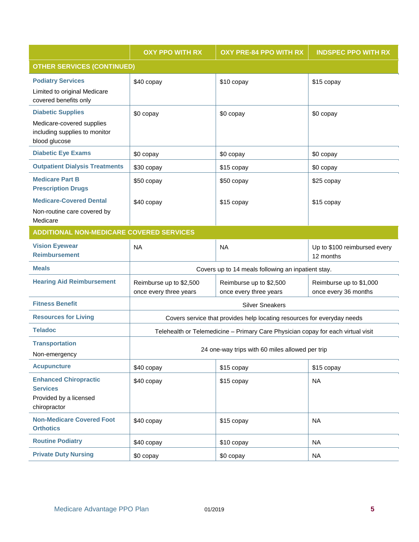|                                                                                                         | <b>OXY PPO WITH RX</b>                             | <b>OXY PRE-84 PPO WITH RX</b>                                                    | <b>INDSPEC PPO WITH RX</b>                      |
|---------------------------------------------------------------------------------------------------------|----------------------------------------------------|----------------------------------------------------------------------------------|-------------------------------------------------|
| <b>OTHER SERVICES (CONTINUED)</b>                                                                       |                                                    |                                                                                  |                                                 |
| <b>Podiatry Services</b><br>Limited to original Medicare<br>covered benefits only                       | \$40 copay                                         | \$10 copay                                                                       | \$15 copay                                      |
| <b>Diabetic Supplies</b><br>Medicare-covered supplies<br>including supplies to monitor<br>blood glucose | \$0 copay                                          | \$0 copay                                                                        | \$0 copay                                       |
| <b>Diabetic Eye Exams</b>                                                                               | \$0 copay                                          | \$0 copay                                                                        | \$0 copay                                       |
| <b>Outpatient Dialysis Treatments</b>                                                                   | \$30 copay                                         | \$15 copay                                                                       | \$0 copay                                       |
| <b>Medicare Part B</b><br><b>Prescription Drugs</b>                                                     | \$50 copay                                         | \$50 copay                                                                       | \$25 copay                                      |
| <b>Medicare-Covered Dental</b><br>Non-routine care covered by<br>Medicare                               | \$40 copay                                         | \$15 copay                                                                       | \$15 copay                                      |
| <b>ADDITIONAL NON-MEDICARE COVERED SERVICES</b>                                                         |                                                    |                                                                                  |                                                 |
| <b>Vision Eyewear</b><br><b>Reimbursement</b>                                                           | <b>NA</b>                                          | <b>NA</b>                                                                        | Up to \$100 reimbursed every<br>12 months       |
| <b>Meals</b>                                                                                            | Covers up to 14 meals following an inpatient stay. |                                                                                  |                                                 |
| <b>Hearing Aid Reimbursement</b>                                                                        | Reimburse up to \$2,500<br>once every three years  | Reimburse up to \$2,500<br>once every three years                                | Reimburse up to \$1,000<br>once every 36 months |
| <b>Fitness Benefit</b>                                                                                  |                                                    | <b>Silver Sneakers</b>                                                           |                                                 |
| <b>Resources for Living</b>                                                                             |                                                    | Covers service that provides help locating resources for everyday needs          |                                                 |
| <b>Teladoc</b>                                                                                          |                                                    | Telehealth or Telemedicine - Primary Care Physician copay for each virtual visit |                                                 |
| <b>Transportation</b><br>Non-emergency                                                                  | 24 one-way trips with 60 miles allowed per trip    |                                                                                  |                                                 |
| <b>Acupuncture</b>                                                                                      | \$40 copay                                         | \$15 copay                                                                       | \$15 copay                                      |
| <b>Enhanced Chiropractic</b><br><b>Services</b><br>Provided by a licensed<br>chiropractor               | \$40 copay                                         | \$15 copay                                                                       | <b>NA</b>                                       |
| <b>Non-Medicare Covered Foot</b><br><b>Orthotics</b>                                                    | \$40 copay                                         | \$15 copay                                                                       | <b>NA</b>                                       |
| <b>Routine Podiatry</b>                                                                                 | \$40 copay                                         | \$10 copay                                                                       | <b>NA</b>                                       |
| <b>Private Duty Nursing</b>                                                                             | \$0 copay                                          | \$0 copay                                                                        | NA                                              |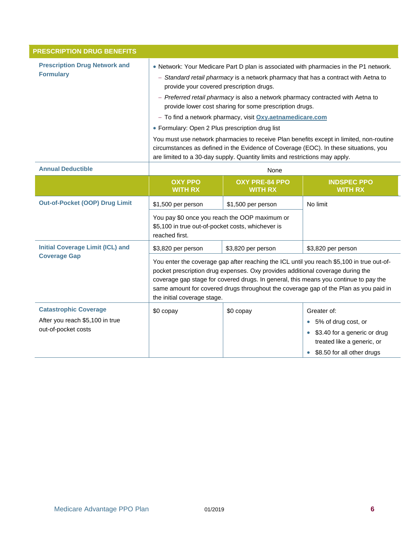| <b>PRESCRIPTION DRUG BENEFITS</b>                        |                                                                                                                                                                                                                                                                                                                                                                                                                                                                                                                                                                                                                                                                          |                                                                             |                                                                                                                       |
|----------------------------------------------------------|--------------------------------------------------------------------------------------------------------------------------------------------------------------------------------------------------------------------------------------------------------------------------------------------------------------------------------------------------------------------------------------------------------------------------------------------------------------------------------------------------------------------------------------------------------------------------------------------------------------------------------------------------------------------------|-----------------------------------------------------------------------------|-----------------------------------------------------------------------------------------------------------------------|
| <b>Prescription Drug Network and</b><br><b>Formulary</b> | . Network: Your Medicare Part D plan is associated with pharmacies in the P1 network.<br>- Standard retail pharmacy is a network pharmacy that has a contract with Aetna to<br>provide your covered prescription drugs.<br>- Preferred retail pharmacy is also a network pharmacy contracted with Aetna to<br>provide lower cost sharing for some prescription drugs.<br>- To find a network pharmacy, visit Oxy.aetnamedicare.com<br>• Formulary: Open 2 Plus prescription drug list<br>You must use network pharmacies to receive Plan benefits except in limited, non-routine<br>circumstances as defined in the Evidence of Coverage (EOC). In these situations, you |                                                                             |                                                                                                                       |
|                                                          |                                                                                                                                                                                                                                                                                                                                                                                                                                                                                                                                                                                                                                                                          | are limited to a 30-day supply. Quantity limits and restrictions may apply. |                                                                                                                       |
| <b>Annual Deductible</b>                                 |                                                                                                                                                                                                                                                                                                                                                                                                                                                                                                                                                                                                                                                                          | None                                                                        |                                                                                                                       |
|                                                          | <b>OXY PPO</b><br><b>WITH RX</b>                                                                                                                                                                                                                                                                                                                                                                                                                                                                                                                                                                                                                                         | <b>OXY PRE-84 PPO</b><br><b>WITH RX</b>                                     | <b>INDSPEC PPO</b><br><b>WITH RX</b>                                                                                  |
| <b>Out-of-Pocket (OOP) Drug Limit</b>                    | \$1,500 per person                                                                                                                                                                                                                                                                                                                                                                                                                                                                                                                                                                                                                                                       | \$1,500 per person                                                          | No limit                                                                                                              |
|                                                          | You pay \$0 once you reach the OOP maximum or<br>\$5,100 in true out-of-pocket costs, whichever is<br>reached first.                                                                                                                                                                                                                                                                                                                                                                                                                                                                                                                                                     |                                                                             |                                                                                                                       |
| <b>Initial Coverage Limit (ICL) and</b>                  | \$3,820 per person                                                                                                                                                                                                                                                                                                                                                                                                                                                                                                                                                                                                                                                       | \$3,820 per person                                                          | \$3,820 per person                                                                                                    |
| <b>Coverage Gap</b>                                      | You enter the coverage gap after reaching the ICL until you reach \$5,100 in true out-of-<br>pocket prescription drug expenses. Oxy provides additional coverage during the<br>coverage gap stage for covered drugs. In general, this means you continue to pay the<br>same amount for covered drugs throughout the coverage gap of the Plan as you paid in<br>the initial coverage stage.                                                                                                                                                                                                                                                                               |                                                                             |                                                                                                                       |
| <b>Catastrophic Coverage</b>                             | \$0 copay                                                                                                                                                                                                                                                                                                                                                                                                                                                                                                                                                                                                                                                                | \$0 copay                                                                   | Greater of:                                                                                                           |
| After you reach \$5,100 in true<br>out-of-pocket costs   |                                                                                                                                                                                                                                                                                                                                                                                                                                                                                                                                                                                                                                                                          |                                                                             | • 5% of drug cost, or<br>• \$3.40 for a generic or drug<br>treated like a generic, or<br>• \$8.50 for all other drugs |
|                                                          |                                                                                                                                                                                                                                                                                                                                                                                                                                                                                                                                                                                                                                                                          |                                                                             |                                                                                                                       |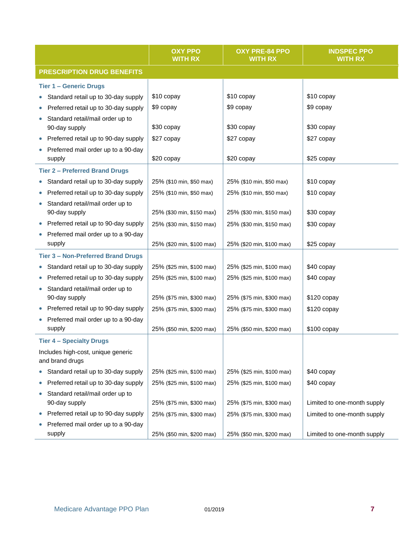|                                                       | <b>OXY PPO</b><br><b>WITH RX</b> | <b>OXY PRE-84 PPO</b><br><b>WITH RX</b> | <b>INDSPEC PPO</b><br><b>WITH RX</b> |
|-------------------------------------------------------|----------------------------------|-----------------------------------------|--------------------------------------|
| <b>PRESCRIPTION DRUG BENEFITS</b>                     |                                  |                                         |                                      |
| <b>Tier 1 - Generic Drugs</b>                         |                                  |                                         |                                      |
| Standard retail up to 30-day supply                   | \$10 copay                       | \$10 copay                              | \$10 copay                           |
| Preferred retail up to 30-day supply                  | \$9 copay                        | \$9 copay                               | \$9 copay                            |
| Standard retail/mail order up to<br>90-day supply     | \$30 copay                       | \$30 copay                              | \$30 copay                           |
| Preferred retail up to 90-day supply                  | \$27 copay                       | \$27 copay                              | \$27 copay                           |
| Preferred mail order up to a 90-day                   |                                  |                                         |                                      |
| supply                                                | \$20 copay                       | \$20 copay                              | \$25 copay                           |
| <b>Tier 2 - Preferred Brand Drugs</b>                 |                                  |                                         |                                      |
| Standard retail up to 30-day supply                   | 25% (\$10 min, \$50 max)         | 25% (\$10 min, \$50 max)                | \$10 copay                           |
| Preferred retail up to 30-day supply                  | 25% (\$10 min, \$50 max)         | 25% (\$10 min, \$50 max)                | \$10 copay                           |
| Standard retail/mail order up to                      |                                  |                                         |                                      |
| 90-day supply                                         | 25% (\$30 min, \$150 max)        | 25% (\$30 min, \$150 max)               | \$30 copay                           |
| Preferred retail up to 90-day supply                  | 25% (\$30 min, \$150 max)        | 25% (\$30 min, \$150 max)               | \$30 copay                           |
| Preferred mail order up to a 90-day<br>supply         | 25% (\$20 min, \$100 max)        | 25% (\$20 min, \$100 max)               | \$25 copay                           |
| <b>Tier 3 - Non-Preferred Brand Drugs</b>             |                                  |                                         |                                      |
| Standard retail up to 30-day supply<br>$\bullet$      | 25% (\$25 min, \$100 max)        | 25% (\$25 min, \$100 max)               | \$40 copay                           |
| Preferred retail up to 30-day supply                  | 25% (\$25 min, \$100 max)        | 25% (\$25 min, \$100 max)               | \$40 copay                           |
| Standard retail/mail order up to                      |                                  |                                         |                                      |
| 90-day supply                                         | 25% (\$75 min, \$300 max)        | 25% (\$75 min, \$300 max)               | $$120$ copay                         |
| Preferred retail up to 90-day supply                  | 25% (\$75 min, \$300 max)        | 25% (\$75 min, \$300 max)               | $$120$ copay                         |
| Preferred mail order up to a 90-day                   |                                  |                                         |                                      |
| supply                                                | 25% (\$50 min, \$200 max)        | 25% (\$50 min, \$200 max)               | \$100 copay                          |
| <b>Tier 4 - Specialty Drugs</b>                       |                                  |                                         |                                      |
| Includes high-cost, unique generic<br>and brand drugs |                                  |                                         |                                      |
| Standard retail up to 30-day supply                   | 25% (\$25 min, \$100 max)        | 25% (\$25 min, \$100 max)               | \$40 copay                           |
| Preferred retail up to 30-day supply                  | 25% (\$25 min, \$100 max)        | 25% (\$25 min, \$100 max)               | \$40 copay                           |
| Standard retail/mail order up to<br>90-day supply     | 25% (\$75 min, \$300 max)        | 25% (\$75 min, \$300 max)               | Limited to one-month supply          |
| Preferred retail up to 90-day supply<br>0             | 25% (\$75 min, \$300 max)        | 25% (\$75 min, \$300 max)               | Limited to one-month supply          |
| Preferred mail order up to a 90-day                   |                                  |                                         |                                      |
| supply                                                | 25% (\$50 min, \$200 max)        | 25% (\$50 min, \$200 max)               | Limited to one-month supply          |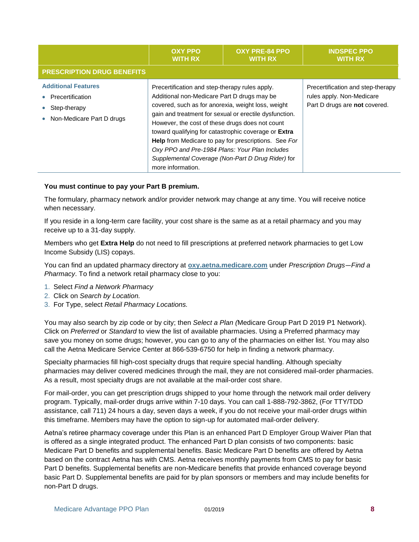|                                                                                             | <b>OXY PPO</b><br><b>WITH RX</b>                                                                                                                                                                                                                                                                                                      | <b>OXY PRE-84 PPO</b><br><b>WITH RX</b>                                                                                                                             | <b>INDSPEC PPO</b><br><b>WITH RX</b>                                                            |
|---------------------------------------------------------------------------------------------|---------------------------------------------------------------------------------------------------------------------------------------------------------------------------------------------------------------------------------------------------------------------------------------------------------------------------------------|---------------------------------------------------------------------------------------------------------------------------------------------------------------------|-------------------------------------------------------------------------------------------------|
| <b>PRESCRIPTION DRUG BENEFITS</b>                                                           |                                                                                                                                                                                                                                                                                                                                       |                                                                                                                                                                     |                                                                                                 |
| <b>Additional Features</b><br>Precertification<br>Step-therapy<br>Non-Medicare Part D drugs | Precertification and step-therapy rules apply.<br>Additional non-Medicare Part D drugs may be<br>covered, such as for anorexia, weight loss, weight<br>However, the cost of these drugs does not count<br>toward qualifying for catastrophic coverage or Extra<br>Oxy PPO and Pre-1984 Plans: Your Plan Includes<br>more information. | gain and treatment for sexual or erectile dysfunction.<br>Help from Medicare to pay for prescriptions. See For<br>Supplemental Coverage (Non-Part D Drug Rider) for | Precertification and step-therapy<br>rules apply. Non-Medicare<br>Part D drugs are not covered. |

#### **You must continue to pay your Part B premium.**

The formulary, pharmacy network and/or provider network may change at any time. You will receive notice when necessary.

If you reside in a long-term care facility, your cost share is the same as at a retail pharmacy and you may receive up to a 31-day supply.

Members who get **Extra Help** do not need to fill prescriptions at preferred network pharmacies to get Low Income Subsidy (LIS) copays.

You can find an updated pharmacy directory at **[oxy.aetna.medicare.com](https://www.aetnamedicare.com/oxy/en/index.html)** under *Prescription Drugs—Find a Pharmacy*. To find a network retail pharmacy close to you:

- 1. Select *Find a Network Pharmacy*
- 2. Click on *Search by Location.*
- 3. For Type, select *Retail Pharmacy Locations.*

You may also search by zip code or by city; then *Select a Plan (*Medicare Group Part D 2019 P1 Network). Click on *Preferred* or *Standard* to view the list of available pharmacies. Using a Preferred pharmacy may save you money on some drugs; however, you can go to any of the pharmacies on either list. You may also call the Aetna Medicare Service Center at 866-539-6750 for help in finding a network pharmacy.

Specialty pharmacies fill high-cost specialty drugs that require special handling. Although specialty pharmacies may deliver covered medicines through the mail, they are not considered mail-order pharmacies. As a result, most specialty drugs are not available at the mail-order cost share.

For mail-order, you can get prescription drugs shipped to your home through the network mail order delivery program. Typically, mail-order drugs arrive within 7-10 days. You can call 1-888-792-3862, (For TTY/TDD assistance, call 711) 24 hours a day, seven days a week, if you do not receive your mail-order drugs within this timeframe. Members may have the option to sign-up for automated mail-order delivery.

Aetna's retiree pharmacy coverage under this Plan is an enhanced Part D Employer Group Waiver Plan that is offered as a single integrated product. The enhanced Part D plan consists of two components: basic Medicare Part D benefits and supplemental benefits. Basic Medicare Part D benefits are offered by Aetna based on the contract Aetna has with CMS. Aetna receives monthly payments from CMS to pay for basic Part D benefits. Supplemental benefits are non-Medicare benefits that provide enhanced coverage beyond basic Part D. Supplemental benefits are paid for by plan sponsors or members and may include benefits for non-Part D drugs.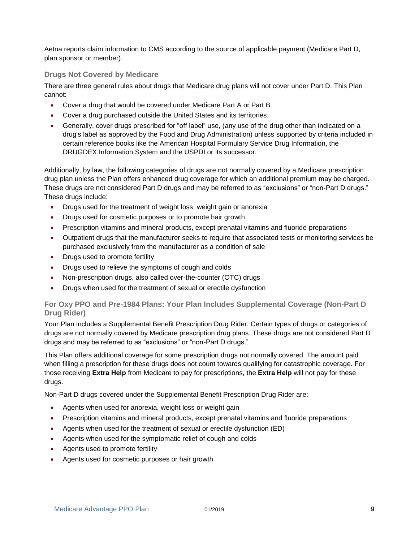Aetna reports claim information to CMS according to the source of applicable payment (Medicare Part D, plan sponsor or member).

#### **Drugs Not Covered by Medicare**

There are three general rules about drugs that Medicare drug plans will not cover under Part D. This Plan cannot:

- Cover a drug that would be covered under Medicare Part A or Part B.
- Cover a drug purchased outside the United States and its territories.
- Generally, cover drugs prescribed for "off label" use, (any use of the drug other than indicated on a drug's label as approved by the Food and Drug Administration) unless supported by criteria included in certain reference books like the American Hospital Formulary Service Drug Information, the DRUGDEX Information System and the USPDI or its successor.

Additionally, by law, the following categories of drugs are not normally covered by a Medicare prescription drug plan unless the Plan offers enhanced drug coverage for which an additional premium may be charged. These drugs are not considered Part D drugs and may be referred to as "exclusions" or "non-Part D drugs." These drugs include:

- Drugs used for the treatment of weight loss, weight gain or anorexia
- Drugs used for cosmetic purposes or to promote hair growth
- Prescription vitamins and mineral products, except prenatal vitamins and fluoride preparations
- Outpatient drugs that the manufacturer seeks to require that associated tests or monitoring services be purchased exclusively from the manufacturer as a condition of sale
- Drugs used to promote fertility
- Drugs used to relieve the symptoms of cough and colds
- Non-prescription drugs, also called over-the-counter (OTC) drugs
- Drugs when used for the treatment of sexual or erectile dysfunction

#### **For Oxy PPO and Pre-1984 Plans: Your Plan Includes Supplemental Coverage (Non-Part D Drug Rider)**

Your Plan includes a Supplemental Benefit Prescription Drug Rider. Certain types of drugs or categories of drugs are not normally covered by Medicare prescription drug plans. These drugs are not considered Part D drugs and may be referred to as "exclusions" or "non-Part D drugs."

This Plan offers additional coverage for some prescription drugs not normally covered. The amount paid when filling a prescription for these drugs does not count towards qualifying for catastrophic coverage. For those receiving **Extra Help** from Medicare to pay for prescriptions, the **Extra Help** will not pay for these drugs.

Non-Part D drugs covered under the Supplemental Benefit Prescription Drug Rider are:

- Agents when used for anorexia, weight loss or weight gain
- Prescription vitamins and mineral products, except prenatal vitamins and fluoride preparations
- Agents when used for the treatment of sexual or erectile dysfunction (ED)
- Agents when used for the symptomatic relief of cough and colds
- Agents used to promote fertility
- Agents used for cosmetic purposes or hair growth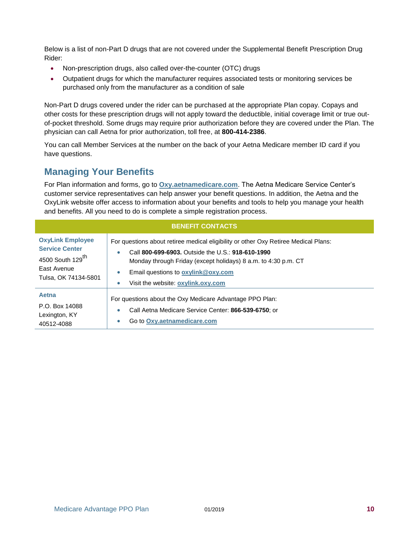Below is a list of non-Part D drugs that are not covered under the Supplemental Benefit Prescription Drug Rider:

- Non-prescription drugs, also called over-the-counter (OTC) drugs
- Outpatient drugs for which the manufacturer requires associated tests or monitoring services be purchased only from the manufacturer as a condition of sale

Non-Part D drugs covered under the rider can be purchased at the appropriate Plan copay. Copays and other costs for these prescription drugs will not apply toward the deductible, initial coverage limit or true outof-pocket threshold. Some drugs may require prior authorization before they are covered under the Plan. The physician can call Aetna for prior authorization, toll free, at **800-414-2386**.

You can call Member Services at the number on the back of your Aetna Medicare member ID card if you have questions.

#### <span id="page-13-0"></span>**Managing Your Benefits**

For Plan information and forms, go to **[Oxy.aetnamedicare.com](https://www.aetnamedicare.com/oxy/en/index.html)**. The Aetna Medicare Service Center's customer service representatives can help answer your benefit questions. In addition, the Aetna and the OxyLink website offer access to information about your benefits and tools to help you manage your health and benefits. All you need to do is complete a simple registration process.

| <b>BENEFIT CONTACTS</b>                                                                                                 |                                                                                                                                                                                                                                                                                                                  |  |  |
|-------------------------------------------------------------------------------------------------------------------------|------------------------------------------------------------------------------------------------------------------------------------------------------------------------------------------------------------------------------------------------------------------------------------------------------------------|--|--|
| <b>OxyLink Employee</b><br><b>Service Center</b><br>4500 South 129 <sup>th</sup><br>East Avenue<br>Tulsa, OK 74134-5801 | For questions about retiree medical eligibility or other Oxy Retiree Medical Plans:<br>Call 800-699-6903, Outside the U.S.: 918-610-1990<br>$\bullet$<br>Monday through Friday (except holidays) 8 a.m. to 4:30 p.m. CT<br>Email questions to oxylink@oxy.com<br>$\bullet$<br>Visit the website: oxylink.oxy.com |  |  |
| Aetna<br>P.O. Box 14088<br>Lexington, KY<br>40512-4088                                                                  | For questions about the Oxy Medicare Advantage PPO Plan:<br>Call Aetna Medicare Service Center: 866-539-6750; or<br>$\bullet$<br>Go to Oxy.aethamedicare.com<br>$\bullet$                                                                                                                                        |  |  |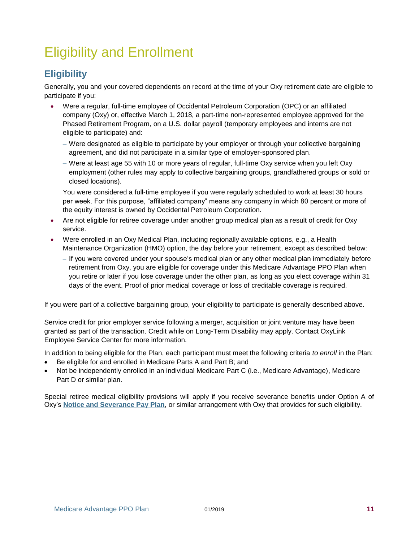### <span id="page-14-0"></span>Eligibility and Enrollment

### <span id="page-14-1"></span>**Eligibility**

Generally, you and your covered dependents on record at the time of your Oxy retirement date are eligible to participate if you:

- Were a regular, full-time employee of Occidental Petroleum Corporation (OPC) or an affiliated company (Oxy) or, effective March 1, 2018, a part-time non-represented employee approved for the Phased Retirement Program, on a U.S. dollar payroll (temporary employees and interns are not eligible to participate) and:
	- Were designated as eligible to participate by your employer or through your collective bargaining agreement, and did not participate in a similar type of employer-sponsored plan.
	- Were at least age 55 with 10 or more years of regular, full-time Oxy service when you left Oxy employment (other rules may apply to collective bargaining groups, grandfathered groups or sold or closed locations).

You were considered a full-time employee if you were regularly scheduled to work at least 30 hours per week. For this purpose, "affiliated company" means any company in which 80 percent or more of the equity interest is owned by Occidental Petroleum Corporation.

- Are not eligible for retiree coverage under another group medical plan as a result of credit for Oxy service.
- Were enrolled in an Oxy Medical Plan, including regionally available options, e.g., a Health Maintenance Organization (HMO) option, the day before your retirement, except as described below:
	- If you were covered under your spouse's medical plan or any other medical plan immediately before retirement from Oxy, you are eligible for coverage under this Medicare Advantage PPO Plan when you retire or later if you lose coverage under the other plan, as long as you elect coverage within 31 days of the event. Proof of prior medical coverage or loss of creditable coverage is required.

If you were part of a collective bargaining group, your eligibility to participate is generally described above.

Service credit for prior employer service following a merger, acquisition or joint venture may have been granted as part of the transaction. Credit while on Long-Term Disability may apply. Contact OxyLink Employee Service Center for more information.

In addition to being eligible for the Plan, each participant must meet the following criteria *to enroll* in the Plan:

- Be eligible for and enrolled in Medicare Parts A and Part B; and
- Not be independently enrolled in an individual Medicare Part C (i.e., Medicare Advantage), Medicare Part D or similar plan.

Special retiree medical eligibility provisions will apply if you receive severance benefits under Option A of Oxy's **[Notice and Severance Pay Plan](#page-16-0)**, or similar arrangement with Oxy that provides for such eligibility.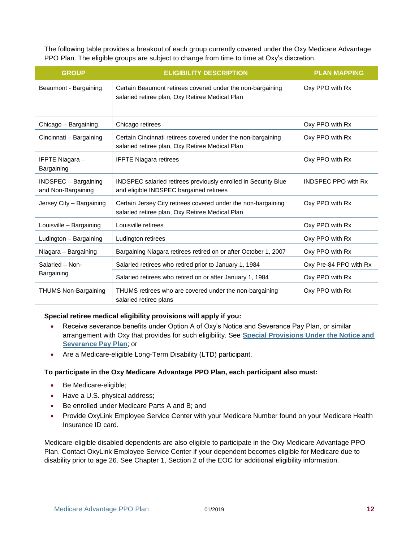The following table provides a breakout of each group currently covered under the Oxy Medicare Advantage PPO Plan. The eligible groups are subject to change from time to time at Oxy's discretion.

| <b>GROUP</b>                               | <b>ELIGIBILITY DESCRIPTION</b>                                                                                   | <b>PLAN MAPPING</b>        |
|--------------------------------------------|------------------------------------------------------------------------------------------------------------------|----------------------------|
| Beaumont - Bargaining                      | Certain Beaumont retirees covered under the non-bargaining<br>salaried retiree plan, Oxy Retiree Medical Plan    | Oxy PPO with Rx            |
| Chicago - Bargaining                       | Chicago retirees                                                                                                 | Oxy PPO with Rx            |
| Cincinnati - Bargaining                    | Certain Cincinnati retirees covered under the non-bargaining<br>salaried retiree plan, Oxy Retiree Medical Plan  | Oxy PPO with Rx            |
| IFPTE Niagara –<br>Bargaining              | <b>IFPTE Niagara retirees</b>                                                                                    | Oxy PPO with Rx            |
| INDSPEC - Bargaining<br>and Non-Bargaining | INDSPEC salaried retirees previously enrolled in Security Blue<br>and eligible INDSPEC bargained retirees        | <b>INDSPEC PPO with Rx</b> |
| Jersey City - Bargaining                   | Certain Jersey City retirees covered under the non-bargaining<br>salaried retiree plan, Oxy Retiree Medical Plan | Oxy PPO with Rx            |
| Louisville - Bargaining                    | Louisville retirees                                                                                              | Oxy PPO with Rx            |
| Ludington - Bargaining                     | Ludington retirees                                                                                               | Oxy PPO with Rx            |
| Niagara - Bargaining                       | Bargaining Niagara retirees retired on or after October 1, 2007                                                  | Oxy PPO with Rx            |
| Salaried - Non-<br>Bargaining              | Salaried retirees who retired prior to January 1, 1984                                                           | Oxy Pre-84 PPO with Rx     |
|                                            | Salaried retirees who retired on or after January 1, 1984                                                        | Oxy PPO with Rx            |
| <b>THUMS Non-Bargaining</b>                | THUMS retirees who are covered under the non-bargaining<br>salaried retiree plans                                | Oxy PPO with Rx            |

#### **Special retiree medical eligibility provisions will apply if you:**

- Receive severance benefits under Option A of Oxy's Notice and Severance Pay Plan, or similar arrangement with Oxy that provides for such eligibility. See **[Special Provisions Under the Notice and](#page-16-0)  [Severance Pay Plan](#page-16-0)**; or
- Are a Medicare-eligible Long-Term Disability (LTD) participant.

#### **To participate in the Oxy Medicare Advantage PPO Plan, each participant also must:**

- Be Medicare-eligible;
- Have a U.S. physical address;
- Be enrolled under Medicare Parts A and B; and
- Provide OxyLink Employee Service Center with your Medicare Number found on your Medicare Health Insurance ID card.

Medicare-eligible disabled dependents are also eligible to participate in the Oxy Medicare Advantage PPO Plan. Contact OxyLink Employee Service Center if your dependent becomes eligible for Medicare due to disability prior to age 26. See Chapter 1, Section 2 of the EOC for additional eligibility information.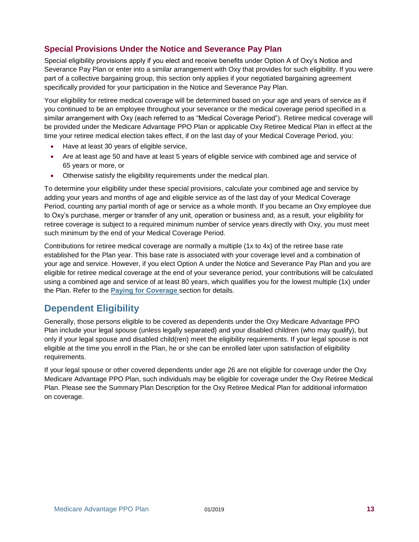#### <span id="page-16-0"></span>**Special Provisions Under the Notice and Severance Pay Plan**

Special eligibility provisions apply if you elect and receive benefits under Option A of Oxy's Notice and Severance Pay Plan or enter into a similar arrangement with Oxy that provides for such eligibility. If you were part of a collective bargaining group, this section only applies if your negotiated bargaining agreement specifically provided for your participation in the Notice and Severance Pay Plan.

Your eligibility for retiree medical coverage will be determined based on your age and years of service as if you continued to be an employee throughout your severance or the medical coverage period specified in a similar arrangement with Oxy (each referred to as "Medical Coverage Period"). Retiree medical coverage will be provided under the Medicare Advantage PPO Plan or applicable Oxy Retiree Medical Plan in effect at the time your retiree medical election takes effect, if on the last day of your Medical Coverage Period, you:

- Have at least 30 years of eligible service,
- Are at least age 50 and have at least 5 years of eligible service with combined age and service of 65 years or more, or
- Otherwise satisfy the eligibility requirements under the medical plan.

To determine your eligibility under these special provisions, calculate your combined age and service by adding your years and months of age and eligible service as of the last day of your Medical Coverage Period, counting any partial month of age or service as a whole month. If you became an Oxy employee due to Oxy's purchase, merger or transfer of any unit, operation or business and, as a result, your eligibility for retiree coverage is subject to a required minimum number of service years directly with Oxy, you must meet such minimum by the end of your Medical Coverage Period.

Contributions for retiree medical coverage are normally a multiple (1x to 4x) of the retiree base rate established for the Plan year. This base rate is associated with your coverage level and a combination of your age and service. However, if you elect Option A under the Notice and Severance Pay Plan and you are eligible for retiree medical coverage at the end of your severance period, your contributions will be calculated using a combined age and service of at least 80 years, which qualifies you for the lowest multiple (1x) under the Plan. Refer to the **Paying for Coverage** section for details.

#### <span id="page-16-1"></span>**Dependent Eligibility**

Generally, those persons eligible to be covered as dependents under the Oxy Medicare Advantage PPO Plan include your legal spouse (unless legally separated) and your disabled children (who may qualify), but only if your legal spouse and disabled child(ren) meet the eligibility requirements. If your legal spouse is not eligible at the time you enroll in the Plan, he or she can be enrolled later upon satisfaction of eligibility requirements.

If your legal spouse or other covered dependents under age 26 are not eligible for coverage under the Oxy Medicare Advantage PPO Plan, such individuals may be eligible for coverage under the Oxy Retiree Medical Plan. Please see the Summary Plan Description for the Oxy Retiree Medical Plan for additional information on coverage.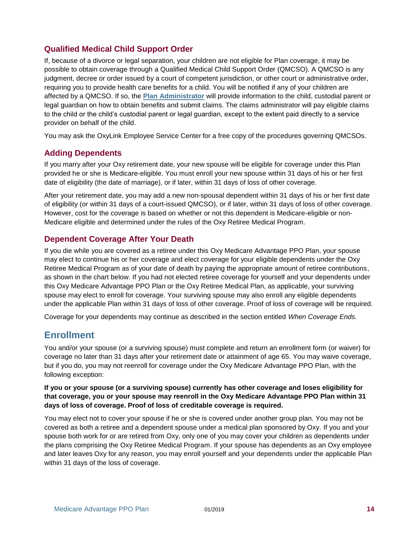#### <span id="page-17-0"></span>**Qualified Medical Child Support Order**

If, because of a divorce or legal separation, your children are not eligible for Plan coverage, it may be possible to obtain coverage through a Qualified Medical Child Support Order (QMCSO). A QMCSO is any judgment, decree or order issued by a court of competent jurisdiction, or other court or administrative order, requiring you to provide health care benefits for a child. You will be notified if any of your children are affected by a QMCSO. If so, the **[Plan Administrator](#page-24-1)** will provide information to the child, custodial parent or legal guardian on how to obtain benefits and submit claims. The claims administrator will pay eligible claims to the child or the child's custodial parent or legal guardian, except to the extent paid directly to a service provider on behalf of the child.

You may ask the OxyLink Employee Service Center for a free copy of the procedures governing QMCSOs.

#### <span id="page-17-1"></span>**Adding Dependents**

If you marry after your Oxy retirement date, your new spouse will be eligible for coverage under this Plan provided he or she is Medicare-eligible. You must enroll your new spouse within 31 days of his or her first date of eligibility (the date of marriage), or if later, within 31 days of loss of other coverage.

After your retirement date, you may add a new non-spousal dependent within 31 days of his or her first date of eligibility (or within 31 days of a court-issued QMCSO), or if later, within 31 days of loss of other coverage. However, cost for the coverage is based on whether or not this dependent is Medicare-eligible or non-Medicare eligible and determined under the rules of the Oxy Retiree Medical Program.

#### <span id="page-17-2"></span>**Dependent Coverage After Your Death**

If you die while you are covered as a retiree under this Oxy Medicare Advantage PPO Plan, your spouse may elect to continue his or her coverage and elect coverage for your eligible dependents under the Oxy Retiree Medical Program as of your date of death by paying the appropriate amount of retiree contributions, as shown in the chart below. If you had not elected retiree coverage for yourself and your dependents under this Oxy Medicare Advantage PPO Plan or the Oxy Retiree Medical Plan, as applicable, your surviving spouse may elect to enroll for coverage. Your surviving spouse may also enroll any eligible dependents under the applicable Plan within 31 days of loss of other coverage. Proof of loss of coverage will be required.

Coverage for your dependents may continue as described in the section entitled *When Coverage Ends.*

#### <span id="page-17-3"></span>**Enrollment**

You and/or your spouse (or a surviving spouse) must complete and return an enrollment form (or waiver) for coverage no later than 31 days after your retirement date or attainment of age 65. You may waive coverage, but if you do, you may not reenroll for coverage under the Oxy Medicare Advantage PPO Plan, with the following exception:

#### **If you or your spouse (or a surviving spouse) currently has other coverage and loses eligibility for that coverage, you or your spouse may reenroll in the Oxy Medicare Advantage PPO Plan within 31 days of loss of coverage. Proof of loss of creditable coverage is required.**

You may elect not to cover your spouse if he or she is covered under another group plan. You may not be covered as both a retiree and a dependent spouse under a medical plan sponsored by Oxy. If you and your spouse both work for or are retired from Oxy, only one of you may cover your children as dependents under the plans comprising the Oxy Retiree Medical Program. If your spouse has dependents as an Oxy employee and later leaves Oxy for any reason, you may enroll yourself and your dependents under the applicable Plan within 31 days of the loss of coverage.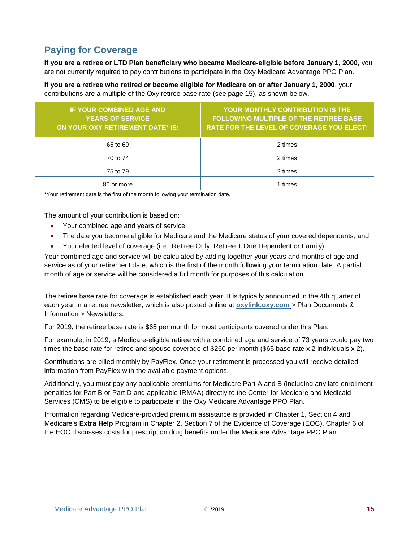### <span id="page-18-0"></span>**Paying for Coverage**

**If you are a retiree or LTD Plan beneficiary who became Medicare-eligible before January 1, 2000**, you are not currently required to pay contributions to participate in the Oxy Medicare Advantage PPO Plan.

**If you are a retiree who retired or became eligible for Medicare on or after January 1, 2000**, your contributions are a multiple of the Oxy retiree base rate (see page 15), as shown below.

| <b>IF YOUR COMBINED AGE AND</b><br><b>YEARS OF SERVICE</b><br>ON YOUR OXY RETIREMENT DATE* IS: | YOUR MONTHLY CONTRIBUTION IS THE<br><b>FOLLOWING MULTIPLE OF THE RETIREE BASE</b><br><b>RATE FOR THE LEVEL OF COVERAGE YOU ELECT:</b> |
|------------------------------------------------------------------------------------------------|---------------------------------------------------------------------------------------------------------------------------------------|
| 65 to 69                                                                                       | 2 times                                                                                                                               |
| 70 to 74                                                                                       | 2 times                                                                                                                               |
| 75 to 79                                                                                       | 2 times                                                                                                                               |
| 80 or more                                                                                     | times                                                                                                                                 |

\*Your retirement date is the first of the month following your termination date.

The amount of your contribution is based on:

- Your combined age and years of service,
- The date you become eligible for Medicare and the Medicare status of your covered dependents, and
- Your elected level of coverage (i.e., Retiree Only, Retiree + One Dependent or Family).

Your combined age and service will be calculated by adding together your years and months of age and service as of your retirement date, which is the first of the month following your termination date. A partial month of age or service will be considered a full month for purposes of this calculation.

The retiree base rate for coverage is established each year. It is typically announced in the 4th quarter of each year in a retiree newsletter, which is also posted online at **[oxylink.oxy.com](http://oxylink.oxy.com/)** > Plan Documents & Information > Newsletters.

For 2019, the retiree base rate is \$65 per month for most participants covered under this Plan.

For example, in 2019, a Medicare-eligible retiree with a combined age and service of 73 years would pay two times the base rate for retiree and spouse coverage of \$260 per month (\$65 base rate x 2 individuals x 2).

Contributions are billed monthly by PayFlex. Once your retirement is processed you will receive detailed information from PayFlex with the available payment options.

Additionally, you must pay any applicable premiums for Medicare Part A and B (including any late enrollment penalties for Part B or Part D and applicable IRMAA) directly to the Center for Medicare and Medicaid Services (CMS) to be eligible to participate in the Oxy Medicare Advantage PPO Plan.

Information regarding Medicare-provided premium assistance is provided in Chapter 1, Section 4 and Medicare's **Extra Help** Program in Chapter 2, Section 7 of the Evidence of Coverage (EOC). Chapter 6 of the EOC discusses costs for prescription drug benefits under the Medicare Advantage PPO Plan.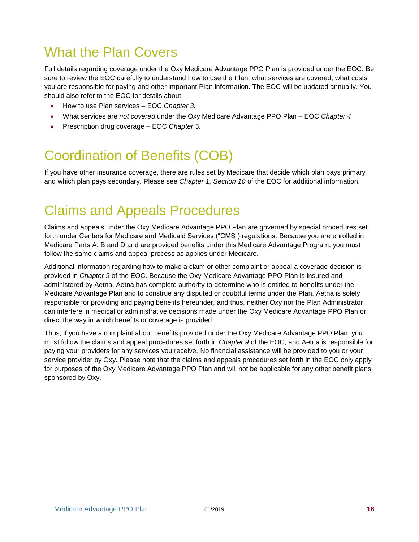### <span id="page-19-0"></span>What the Plan Covers

Full details regarding coverage under the Oxy Medicare Advantage PPO Plan is provided under the EOC. Be sure to review the EOC carefully to understand how to use the Plan, what services are covered, what costs you are responsible for paying and other important Plan information. The EOC will be updated annually. You should also refer to the EOC for details about:

- How to use Plan services EOC *Chapter 3.*
- What services are *not covered* under the Oxy Medicare Advantage PPO Plan EOC *Chapter 4*
- Prescription drug coverage EOC *Chapter 5*.

### <span id="page-19-1"></span>Coordination of Benefits (COB)

If you have other insurance coverage, there are rules set by Medicare that decide which plan pays primary and which plan pays secondary. Please see *Chapter 1, Section 10* of the EOC for additional information.

### <span id="page-19-2"></span>Claims and Appeals Procedures

Claims and appeals under the Oxy Medicare Advantage PPO Plan are governed by special procedures set forth under Centers for Medicare and Medicaid Services ("CMS") regulations. Because you are enrolled in Medicare Parts A, B and D and are provided benefits under this Medicare Advantage Program, you must follow the same claims and appeal process as applies under Medicare.

Additional information regarding how to make a claim or other complaint or appeal a coverage decision is provided in *Chapter 9* of the EOC. Because the Oxy Medicare Advantage PPO Plan is insured and administered by Aetna, Aetna has complete authority to determine who is entitled to benefits under the Medicare Advantage Plan and to construe any disputed or doubtful terms under the Plan. Aetna is solely responsible for providing and paying benefits hereunder, and thus, neither Oxy nor the Plan Administrator can interfere in medical or administrative decisions made under the Oxy Medicare Advantage PPO Plan or direct the way in which benefits or coverage is provided.

Thus, if you have a complaint about benefits provided under the Oxy Medicare Advantage PPO Plan, you must follow the claims and appeal procedures set forth in *Chapter 9* of the EOC, and Aetna is responsible for paying your providers for any services you receive. No financial assistance will be provided to you or your service provider by Oxy. Please note that the claims and appeals procedures set forth in the EOC only apply for purposes of the Oxy Medicare Advantage PPO Plan and will not be applicable for any other benefit plans sponsored by Oxy.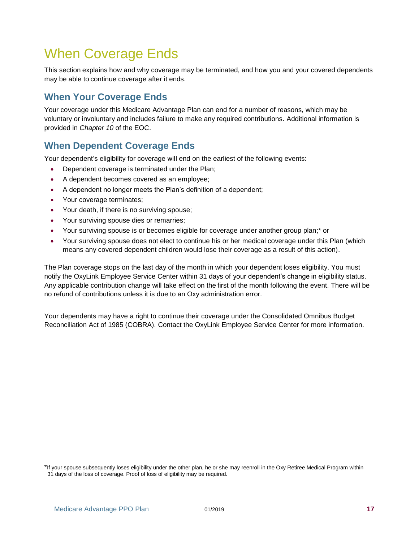### <span id="page-20-0"></span>When Coverage Ends

This section explains how and why coverage may be terminated, and how you and your covered dependents may be able to continue coverage after it ends.

#### <span id="page-20-1"></span>**When Your Coverage Ends**

Your coverage under this Medicare Advantage Plan can end for a number of reasons, which may be voluntary or involuntary and includes failure to make any required contributions. Additional information is provided in *Chapter 10* of the EOC.

#### <span id="page-20-2"></span>**When Dependent Coverage Ends**

Your dependent's eligibility for coverage will end on the earliest of the following events:

- Dependent coverage is terminated under the Plan;
- A dependent becomes covered as an employee;
- A dependent no longer meets the Plan's definition of a dependent;
- Your coverage terminates;
- Your death, if there is no surviving spouse;
- Your surviving spouse dies or remarries;
- Your surviving spouse is or becomes eligible for coverage under another group plan;\* or
- Your surviving spouse does not elect to continue his or her medical coverage under this Plan (which means any covered dependent children would lose their coverage as a result of this action).

The Plan coverage stops on the last day of the month in which your dependent loses eligibility. You must notify the OxyLink Employee Service Center within 31 days of your dependent's change in eligibility status. Any applicable contribution change will take effect on the first of the month following the event. There will be no refund of contributions unless it is due to an Oxy administration error.

Your dependents may have a right to continue their coverage under the Consolidated Omnibus Budget Reconciliation Act of 1985 (COBRA). Contact the OxyLink Employee Service Center for more information.

<sup>\*</sup>If your spouse subsequently loses eligibility under the other plan, he or she may reenroll in the Oxy Retiree Medical Program within 31 days of the loss of coverage. Proof of loss of eligibility may be required.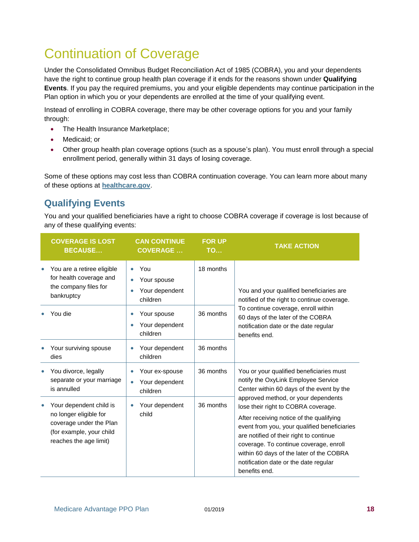### <span id="page-21-0"></span>Continuation of Coverage

Under the Consolidated Omnibus Budget Reconciliation Act of 1985 (COBRA), you and your dependents have the right to continue group health plan coverage if it ends for the reasons shown under **[Qualifying](#page-21-0)  [Events](#page-21-0)**. If you pay the required premiums, you and your eligible dependents may continue participation in the Plan option in which you or your dependents are enrolled at the time of your qualifying event.

Instead of enrolling in COBRA coverage, there may be other coverage options for you and your family through:

- The Health Insurance Marketplace;
- Medicaid; or
- Other group health plan coverage options (such as a spouse's plan). You must enroll through a special enrollment period, generally within 31 days of losing coverage.

Some of these options may cost less than COBRA continuation coverage. You can learn more about many of these options at **[healthcare.gov](http://www.healthcare.gov/)**.

#### <span id="page-21-1"></span>**Qualifying Events**

You and your qualified beneficiaries have a right to choose COBRA coverage if coverage is lost because of any of these qualifying events:

| <b>COVERAGE IS LOST</b><br><b>BECAUSE</b>                                                                                          | <b>CAN CONTINUE</b><br><b>COVERAGE</b>                                     | <b>FOR UP</b><br><b>TO</b> | <b>TAKE ACTION</b>                                                                                                                                                                                                                                                                                                                                                                                                                                                                                |
|------------------------------------------------------------------------------------------------------------------------------------|----------------------------------------------------------------------------|----------------------------|---------------------------------------------------------------------------------------------------------------------------------------------------------------------------------------------------------------------------------------------------------------------------------------------------------------------------------------------------------------------------------------------------------------------------------------------------------------------------------------------------|
| You are a retiree eligible<br>for health coverage and<br>the company files for<br>bankruptcy                                       | You<br>$\bullet$<br>Your spouse<br>$\bullet$<br>Your dependent<br>children | 18 months                  | You and your qualified beneficiaries are<br>notified of the right to continue coverage.<br>To continue coverage, enroll within<br>60 days of the later of the COBRA<br>notification date or the date regular<br>benefits end.                                                                                                                                                                                                                                                                     |
| You die                                                                                                                            | Your spouse<br>$\bullet$<br>Your dependent<br>$\bullet$<br>children        | 36 months                  |                                                                                                                                                                                                                                                                                                                                                                                                                                                                                                   |
| Your surviving spouse<br>dies                                                                                                      | Your dependent<br>٠<br>children                                            | 36 months                  |                                                                                                                                                                                                                                                                                                                                                                                                                                                                                                   |
| You divorce, legally<br>separate or your marriage<br>is annulled                                                                   | Your ex-spouse<br>$\bullet$<br>Your dependent<br>$\bullet$<br>children     | 36 months                  | You or your qualified beneficiaries must<br>notify the OxyLink Employee Service<br>Center within 60 days of the event by the<br>approved method, or your dependents<br>lose their right to COBRA coverage.<br>After receiving notice of the qualifying<br>event from you, your qualified beneficiaries<br>are notified of their right to continue<br>coverage. To continue coverage, enroll<br>within 60 days of the later of the COBRA<br>notification date or the date regular<br>benefits end. |
| Your dependent child is<br>no longer eligible for<br>coverage under the Plan<br>(for example, your child<br>reaches the age limit) | Your dependent<br>$\bullet$<br>child                                       | 36 months                  |                                                                                                                                                                                                                                                                                                                                                                                                                                                                                                   |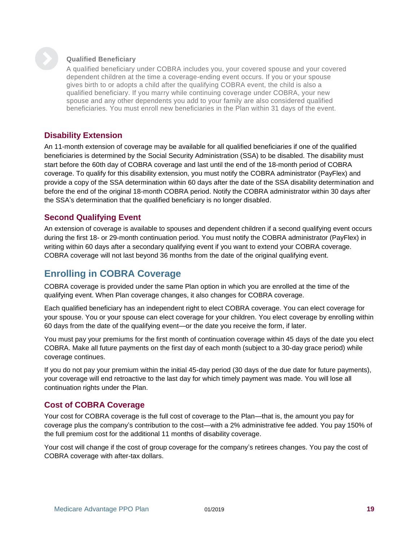

#### **Qualified Beneficiary**

A qualified beneficiary under COBRA includes you, your covered spouse and your covered dependent children at the time a coverage-ending event occurs. If you or your spouse gives birth to or adopts a child after the qualifying COBRA event, the child is also a qualified beneficiary. If you marry while continuing coverage under COBRA, your new spouse and any other dependents you add to your family are also considered qualified beneficiaries. You must enroll new beneficiaries in the Plan within 31 days of the event.

#### <span id="page-22-0"></span>**Disability Extension**

An 11-month extension of coverage may be available for all qualified beneficiaries if one of the qualified beneficiaries is determined by the Social Security Administration (SSA) to be disabled. The disability must start before the 60th day of COBRA coverage and last until the end of the 18-month period of COBRA coverage. To qualify for this disability extension, you must notify the COBRA administrator (PayFlex) and provide a copy of the SSA determination within 60 days after the date of the SSA disability determination and before the end of the original 18-month COBRA period. Notify the COBRA administrator within 30 days after the SSA's determination that the qualified beneficiary is no longer disabled.

#### <span id="page-22-1"></span>**Second Qualifying Event**

An extension of coverage is available to spouses and dependent children if a second qualifying event occurs during the first 18- or 29-month continuation period. You must notify the COBRA administrator (PayFlex) in writing within 60 days after a secondary qualifying event if you want to extend your COBRA coverage. COBRA coverage will not last beyond 36 months from the date of the original qualifying event.

#### <span id="page-22-2"></span>**Enrolling in COBRA Coverage**

COBRA coverage is provided under the same Plan option in which you are enrolled at the time of the qualifying event. When Plan coverage changes, it also changes for COBRA coverage.

Each qualified beneficiary has an independent right to elect COBRA coverage. You can elect coverage for your spouse. You or your spouse can elect coverage for your children. You elect coverage by enrolling within 60 days from the date of the qualifying event—or the date you receive the form, if later.

You must pay your premiums for the first month of continuation coverage within 45 days of the date you elect COBRA. Make all future payments on the first day of each month (subject to a 30-day grace period) while coverage continues.

If you do not pay your premium within the initial 45-day period (30 days of the due date for future payments), your coverage will end retroactive to the last day for which timely payment was made. You will lose all continuation rights under the Plan.

#### <span id="page-22-3"></span>**Cost of COBRA Coverage**

Your cost for COBRA coverage is the full cost of coverage to the Plan—that is, the amount you pay for coverage plus the company's contribution to the cost—with a 2% administrative fee added. You pay 150% of the full premium cost for the additional 11 months of disability coverage.

Your cost will change if the cost of group coverage for the company's retirees changes. You pay the cost of COBRA coverage with after-tax dollars.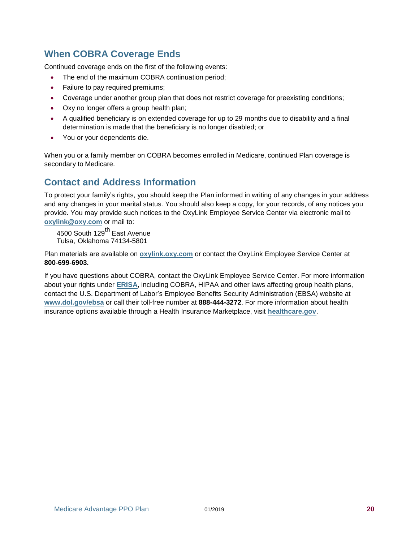#### <span id="page-23-0"></span>**When COBRA Coverage Ends**

Continued coverage ends on the first of the following events:

- The end of the maximum COBRA continuation period;
- Failure to pay required premiums;
- Coverage under another group plan that does not restrict coverage for preexisting conditions;
- Oxy no longer offers a group health plan;
- A qualified beneficiary is on extended coverage for up to 29 months due to disability and a final determination is made that the beneficiary is no longer disabled; or
- You or your dependents die.

When you or a family member on COBRA becomes enrolled in Medicare, continued Plan coverage is secondary to Medicare.

#### <span id="page-23-1"></span>**Contact and Address Information**

To protect your family's rights, you should keep the Plan informed in writing of any changes in your address and any changes in your marital status. You should also keep a copy, for your records, of any notices you provide. You may provide such notices to the OxyLink Employee Service Center via electronic mail to **[oxylink@oxy.com](mailto:oxylink@oxy.com)** or mail to:

4500 South 129<sup>th</sup> East Avenue Tulsa, Oklahoma 74134-5801

Plan materials are available on **[oxylink.oxy.com](https://oxylink.oxy.com/)** or contact the OxyLink Employee Service Center at **800-699-6903.**

If you have questions about COBRA, contact the OxyLink Employee Service Center. For more information about your rights under **[ERISA](#page-29-0)**, including COBRA, HIPAA and other laws affecting group health plans, contact the U.S. Department of Labor's Employee Benefits Security Administration (EBSA) website at **[www.dol.gov/ebsa](http://www.dol.gov/ebsa)** or call their toll-free number at **888-444-3272**. For more information about health insurance options available through a Health Insurance Marketplace, visit **[healthcare.gov](http://www.healthcare.gov/)**.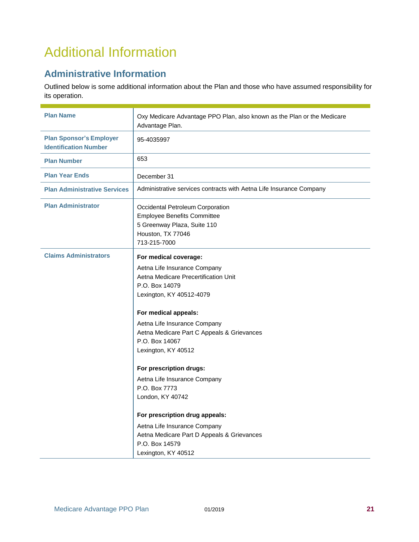### <span id="page-24-0"></span>Additional Information

#### <span id="page-24-1"></span>**Administrative Information**

Outlined below is some additional information about the Plan and those who have assumed responsibility for its operation.

| <b>Plan Name</b>                                               | Oxy Medicare Advantage PPO Plan, also known as the Plan or the Medicare<br>Advantage Plan.                                                                                                                                                                                                                                                                                                                                                                                                                                                          |
|----------------------------------------------------------------|-----------------------------------------------------------------------------------------------------------------------------------------------------------------------------------------------------------------------------------------------------------------------------------------------------------------------------------------------------------------------------------------------------------------------------------------------------------------------------------------------------------------------------------------------------|
| <b>Plan Sponsor's Employer</b><br><b>Identification Number</b> | 95-4035997                                                                                                                                                                                                                                                                                                                                                                                                                                                                                                                                          |
| <b>Plan Number</b>                                             | 653                                                                                                                                                                                                                                                                                                                                                                                                                                                                                                                                                 |
| <b>Plan Year Ends</b>                                          | December 31                                                                                                                                                                                                                                                                                                                                                                                                                                                                                                                                         |
| <b>Plan Administrative Services</b>                            | Administrative services contracts with Aetna Life Insurance Company                                                                                                                                                                                                                                                                                                                                                                                                                                                                                 |
| <b>Plan Administrator</b>                                      | Occidental Petroleum Corporation<br><b>Employee Benefits Committee</b><br>5 Greenway Plaza, Suite 110<br>Houston, TX 77046<br>713-215-7000                                                                                                                                                                                                                                                                                                                                                                                                          |
| <b>Claims Administrators</b>                                   | For medical coverage:<br>Aetna Life Insurance Company<br>Aetna Medicare Precertification Unit<br>P.O. Box 14079<br>Lexington, KY 40512-4079<br>For medical appeals:<br>Aetna Life Insurance Company<br>Aetna Medicare Part C Appeals & Grievances<br>P.O. Box 14067<br>Lexington, KY 40512<br>For prescription drugs:<br>Aetna Life Insurance Company<br>P.O. Box 7773<br>London, KY 40742<br>For prescription drug appeals:<br>Aetna Life Insurance Company<br>Aetna Medicare Part D Appeals & Grievances<br>P.O. Box 14579<br>Lexington, KY 40512 |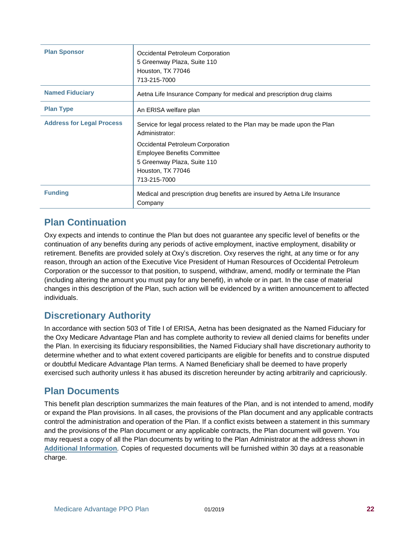| <b>Plan Sponsor</b>              | Occidental Petroleum Corporation<br>5 Greenway Plaza, Suite 110<br>Houston, TX 77046<br>713-215-7000                                                                                                                                    |
|----------------------------------|-----------------------------------------------------------------------------------------------------------------------------------------------------------------------------------------------------------------------------------------|
| <b>Named Fiduciary</b>           | Aetna Life Insurance Company for medical and prescription drug claims                                                                                                                                                                   |
| <b>Plan Type</b>                 | An ERISA welfare plan                                                                                                                                                                                                                   |
| <b>Address for Legal Process</b> | Service for legal process related to the Plan may be made upon the Plan<br>Administrator:<br>Occidental Petroleum Corporation<br><b>Employee Benefits Committee</b><br>5 Greenway Plaza, Suite 110<br>Houston, TX 77046<br>713-215-7000 |
| <b>Funding</b>                   | Medical and prescription drug benefits are insured by Aetna Life Insurance<br>Company                                                                                                                                                   |

#### <span id="page-25-0"></span>**Plan Continuation**

Oxy expects and intends to continue the Plan but does not guarantee any specific level of benefits or the continuation of any benefits during any periods of active employment, inactive employment, disability or retirement. Benefits are provided solely at Oxy's discretion. Oxy reserves the right, at any time or for any reason, through an action of the Executive Vice President of Human Resources of Occidental Petroleum Corporation or the successor to that position, to suspend, withdraw, amend, modify or terminate the Plan (including altering the amount you must pay for any benefit), in whole or in part. In the case of material changes in this description of the Plan, such action will be evidenced by a written announcement to affected individuals.

#### <span id="page-25-1"></span>**Discretionary Authority**

In accordance with section 503 of Title I of ERISA, Aetna has been designated as the Named Fiduciary for the Oxy Medicare Advantage Plan and has complete authority to review all denied claims for benefits under the Plan. In exercising its fiduciary responsibilities, the Named Fiduciary shall have discretionary authority to determine whether and to what extent covered participants are eligible for benefits and to construe disputed or doubtful Medicare Advantage Plan terms. A Named Beneficiary shall be deemed to have properly exercised such authority unless it has abused its discretion hereunder by acting arbitrarily and capriciously.

#### <span id="page-25-2"></span>**Plan Documents**

This benefit plan description summarizes the main features of the Plan, and is not intended to amend, modify or expand the Plan provisions. In all cases, the provisions of the Plan document and any applicable contracts control the administration and operation of the Plan. If a conflict exists between a statement in this summary and the provisions of the Plan document or any applicable contracts, the Plan document will govern. You may request a copy of all the Plan documents by writing to the Plan Administrator at the address shown in **[Additional Information](file:///C:/Users/Judy/Documents/Oxy/Dental%20Vision%20FSAs/Vision%20eff%201-1-2016%20V1%205-6-16%20NA%20comments.docx%23_bookmark41)***.* Copies of requested documents will be furnished within 30 days at a reasonable charge.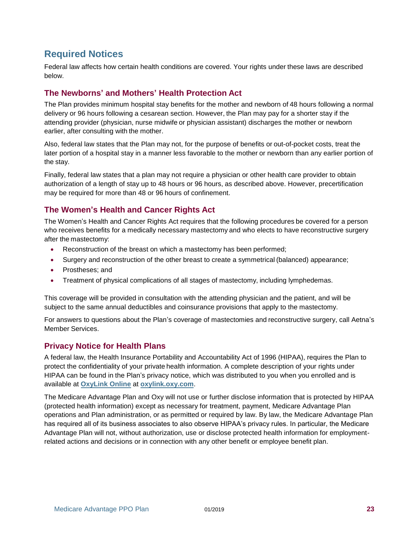#### <span id="page-26-0"></span>**Required Notices**

Federal law affects how certain health conditions are covered. Your rights under these laws are described below.

#### <span id="page-26-1"></span>**The Newborns' and Mothers' Health Protection Act**

The Plan provides minimum hospital stay benefits for the mother and newborn of 48 hours following a normal delivery or 96 hours following a cesarean section. However, the Plan may pay for a shorter stay if the attending provider (physician, nurse midwife or physician assistant) discharges the mother or newborn earlier, after consulting with the mother.

Also, federal law states that the Plan may not, for the purpose of benefits or out-of-pocket costs, treat the later portion of a hospital stay in a manner less favorable to the mother or newborn than any earlier portion of the stay.

Finally, federal law states that a plan may not require a physician or other health care provider to obtain authorization of a length of stay up to 48 hours or 96 hours, as described above. However, precertification may be required for more than 48 or 96 hours of confinement.

#### <span id="page-26-2"></span>**The Women's Health and Cancer Rights Act**

The Women's Health and Cancer Rights Act requires that the following procedures be covered for a person who receives benefits for a medically necessary mastectomy and who elects to have reconstructive surgery after the mastectomy:

- Reconstruction of the breast on which a mastectomy has been performed;
- Surgery and reconstruction of the other breast to create a symmetrical (balanced) appearance;
- Prostheses; and
- Treatment of physical complications of all stages of mastectomy, including lymphedemas.

This coverage will be provided in consultation with the attending physician and the patient, and will be subject to the same annual deductibles and coinsurance provisions that apply to the mastectomy.

For answers to questions about the Plan's coverage of mastectomies and reconstructive surgery, call Aetna's Member Services.

#### <span id="page-26-3"></span>**Privacy Notice for Health Plans**

A federal law, the Health Insurance Portability and Accountability Act of 1996 (HIPAA), requires the Plan to protect the confidentiality of your private health information. A complete description of your rights under HIPAA can be found in the Plan's privacy notice, which was distributed to you when you enrolled and is available at **[OxyLink Online](https://oxylink.oxy.com/)** at **[oxylink.oxy.com](file:///C:/Users/Beth/AppData/Local/Microsoft/Windows/INetCache/Content.Outlook/X6IBN9DV/oxylink.oxy.com)**.

The Medicare Advantage Plan and Oxy will not use or further disclose information that is protected by HIPAA (protected health information) except as necessary for treatment, payment, Medicare Advantage Plan operations and Plan administration, or as permitted or required by law. By law, the Medicare Advantage Plan has required all of its business associates to also observe HIPAA's privacy rules. In particular, the Medicare Advantage Plan will not, without authorization, use or disclose protected health information for employmentrelated actions and decisions or in connection with any other benefit or employee benefit plan.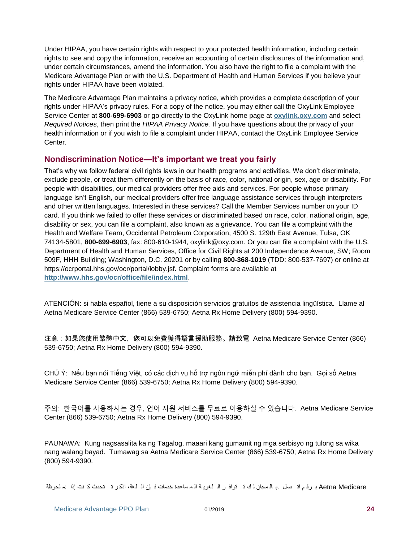Under HIPAA, you have certain rights with respect to your protected health information, including certain rights to see and copy the information, receive an accounting of certain disclosures of the information and, under certain circumstances, amend the information. You also have the right to file a complaint with the Medicare Advantage Plan or with the U.S. Department of Health and Human Services if you believe your rights under HIPAA have been violated.

The Medicare Advantage Plan maintains a privacy notice, which provides a complete description of your rights under HIPAA's privacy rules. For a copy of the notice, you may either call the OxyLink Employee Service Center at **800-699-6903** or go directly to the OxyLink home page at **[oxylink.oxy.com](http://oxylink.oxy.com/)** and select *Required Notices*, then print the *HIPAA Privacy Notice.* If you have questions about the privacy of your health information or if you wish to file a complaint under HIPAA, contact the OxyLink Employee Service Center.

#### <span id="page-27-0"></span>**Nondiscrimination Notice—It's important we treat you fairly**

That's why we follow federal civil rights laws in our health programs and activities. We don't discriminate, exclude people, or treat them differently on the basis of race, color, national origin, sex, age or disability. For people with disabilities, our medical providers offer free aids and services. For people whose primary language isn't English, our medical providers offer free language assistance services through interpreters and other written languages. Interested in these services? Call the Member Services number on your ID card. If you think we failed to offer these services or discriminated based on race, color, national origin, age, disability or sex, you can file a complaint, also known as a grievance. You can file a complaint with the Health and Welfare Team, Occidental Petroleum Corporation, 4500 S. 129th East Avenue, Tulsa, OK 74134-5801, **800-699-6903**, fax: 800-610-1944, oxylink@oxy.com. Or you can file a complaint with the U.S. Department of Health and Human Services, Office for Civil Rights at 200 Independence Avenue, SW; Room 509F, HHH Building; Washington, D.C. 20201 or by calling **800-368-1019** (TDD: 800-537-7697) or online at https://ocrportal.hhs.gov/ocr/portal/lobby.jsf. Complaint forms are available at **<http://www.hhs.gov/ocr/office/file/index.html>**.

ATENCIÓN: si habla español, tiene a su disposición servicios gratuitos de asistencia lingüística. Llame al Aetna Medicare Service Center (866) 539-6750; Aetna Rx Home Delivery (800) 594-9390.

注意:如果您使用繁體中文,您可以免費獲得語言援助服務。請致電 Aetna Medicare Service Center (866) 539-6750; Aetna Rx Home Delivery (800) 594-9390.

CHÚ Ý: Nếu bạn nói Tiếng Việt, có các dịch vụ hỗ trợ ngôn ngữ miễn phí dành cho bạn. Gọi số Aetna Medicare Service Center (866) 539-6750; Aetna Rx Home Delivery (800) 594-9390.

주의: 한국어를 사용하시는 경우, 언어 지원 서비스를 무료로 이용하실 수 있습니다. Aetna Medicare Service Center (866) 539-6750; Aetna Rx Home Delivery (800) 594-9390.

PAUNAWA: Kung nagsasalita ka ng Tagalog, maaari kang gumamit ng mga serbisyo ng tulong sa wika nang walang bayad. Tumawag sa Aetna Medicare Service Center (866) 539-6750; Aetna Rx Home Delivery (800) 594-9390.

Aetna Medicare بـ رقم اتـ صل . بـ ال مجان لـ ك تـ توافـ ر الـ لـغويـة الـم ساعدة خدمات فـ إن الـ لـغة، اذكـر تـ تحدث كـ نت إذا :م لحوظة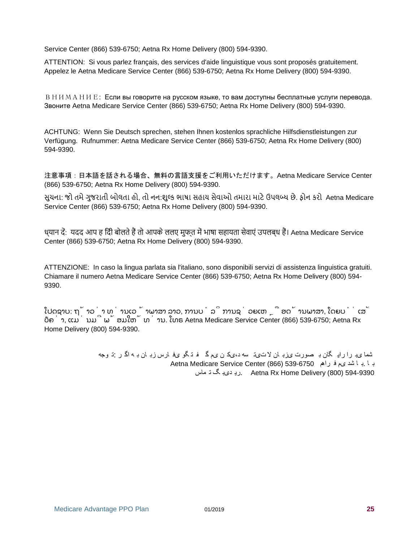Service Center (866) 539-6750; Aetna Rx Home Delivery (800) 594-9390.

ATTENTION: Si vous parlez français, des services d'aide linguistique vous sont proposés gratuitement. Appelez le Aetna Medicare Service Center (866) 539-6750; Aetna Rx Home Delivery (800) 594-9390.

ВНИМАНИЕ: Если вы говорите на русском языке, то вам доступны бесплатные услуги перевода. Звоните Aetna Medicare Service Center (866) 539-6750; Aetna Rx Home Delivery (800) 594-9390.

ACHTUNG: Wenn Sie Deutsch sprechen, stehen Ihnen kostenlos sprachliche Hilfsdienstleistungen zur Verfügung. Rufnummer: Aetna Medicare Service Center (866) 539-6750; Aetna Rx Home Delivery (800) 594-9390.

注意事項:日本語を話される場合、無料の言語支援をご利用いただけます。Aetna Medicare Service Center (866) 539-6750; Aetna Rx Home Delivery (800) 594-9390.

સુચના: જો તમેગુજરાતી બોલતા હો, તો નન:શુલ્ક ભાષા સહાય સેવાઓ તમારા માટેઉપલબ્ધ છે. ફોન કરો Aetna Medicare Service Center (866) 539-6750; Aetna Rx Home Delivery (800) 594-9390.

ध्यान दें: यदद आप ह िंदी बोलतेहैं तो आपकेललए मुफ्त में भाषा सहायता सेवाएं उपलब्ध हैं। Aetna Medicare Service Center (866) 539-6750; Aetna Rx Home Delivery (800) 594-9390.

ATTENZIONE: In caso la lingua parlata sia l'italiano, sono disponibili servizi di assistenza linguistica gratuiti. Chiamare il numero Aetna Medicare Service Center (866) 539-6750; Aetna Rx Home Delivery (800) 594- 9390.

ໂປດຊາບ: ຖ້ າວ່ າ ທ່ ານເວ ້ າພາສາ ລາວ, ການບໍ ລິ ການຊ່ ວຍເຫ ຼື ອດ້ ານພາສາ, ໂດຍບໍ່ ເສັ ຽຄ່ າ, ແມ່ ນມີ ພ້ ອມໃຫ້ ທ່ ານ. ໂທຣ Aetna Medicare Service Center (866) 539-6750; Aetna Rx Home Delivery (800) 594-9390.

> شما یب را راي گان ب صورت یزب ان ال تیت سه د،یک ن یم گ ف ت گو یف ارس زب ان ب ه اگ ر :ت وجه ب ا .ب ا شد یم ف راهم 539-6750 (866) Center Service Medicare Aetna 594-9390 (800) Delivery Home Rx Aetna .ري دیب گ ت ماس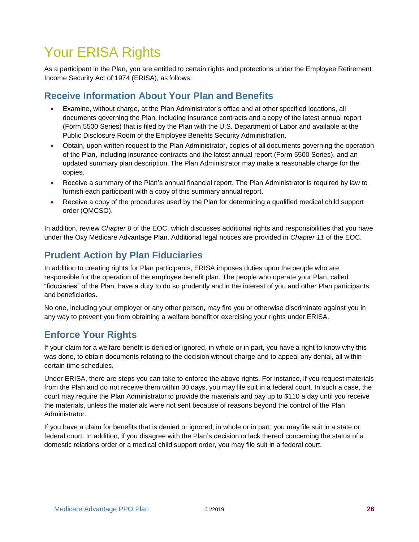### <span id="page-29-0"></span>Your ERISA Rights

As a participant in the Plan, you are entitled to certain rights and protections under the Employee Retirement Income Security Act of 1974 (ERISA), as follows:

#### <span id="page-29-1"></span>**Receive Information About Your Plan and Benefits**

- Examine, without charge, at the Plan Administrator's office and at other specified locations, all documents governing the Plan, including insurance contracts and a copy of the latest annual report (Form 5500 Series) that is filed by the Plan with the U.S. Department of Labor and available at the Public Disclosure Room of the Employee Benefits Security Administration.
- Obtain, upon written request to the Plan Administrator, copies of all documents governing the operation of the Plan, including insurance contracts and the latest annual report (Form 5500 Series), and an updated summary plan description. The Plan Administrator may make a reasonable charge for the copies.
- Receive a summary of the Plan's annual financial report. The Plan Administrator is required by law to furnish each participant with a copy of this summary annual report.
- Receive a copy of the procedures used by the Plan for determining a qualified medical child support order (QMCSO).

In addition, review *Chapter 8* of the EOC, which discusses additional rights and responsibilities that you have under the Oxy Medicare Advantage Plan. Additional legal notices are provided in *Chapter 11* of the EOC.

#### <span id="page-29-2"></span>**Prudent Action by Plan Fiduciaries**

In addition to creating rights for Plan participants, ERISA imposes duties upon the people who are responsible for the operation of the employee benefit plan. The people who operate your Plan, called "fiduciaries" of the Plan, have a duty to do so prudently and in the interest of you and other Plan participants and beneficiaries.

No one, including your employer or any other person, may fire you or otherwise discriminate against you in any way to prevent you from obtaining a welfare benefit or exercising your rights under ERISA.

#### <span id="page-29-3"></span>**Enforce Your Rights**

If your claim for a welfare benefit is denied or ignored, in whole or in part, you have a right to know why this was done, to obtain documents relating to the decision without charge and to appeal any denial, all within certain time schedules.

Under ERISA, there are steps you can take to enforce the above rights. For instance, if you request materials from the Plan and do not receive them within 30 days, you may file suit in a federal court. In such a case, the court may require the Plan Administrator to provide the materials and pay up to \$110 a day until you receive the materials, unless the materials were not sent because of reasons beyond the control of the Plan Administrator.

If you have a claim for benefits that is denied or ignored, in whole or in part, you may file suit in a state or federal court. In addition, if you disagree with the Plan's decision or lack thereof concerning the status of a domestic relations order or a medical child support order, you may file suit in a federal court.